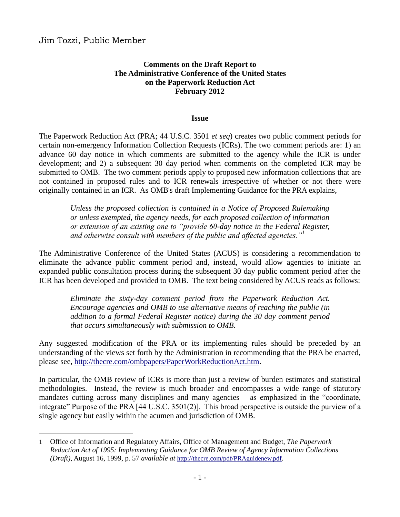$\overline{a}$ 

### **Comments on the Draft Report to The Administrative Conference of the United States on the Paperwork Reduction Act February 2012**

#### **Issue**

The Paperwork Reduction Act (PRA; 44 U.S.C. 3501 *et seq*) creates two public comment periods for certain non-emergency Information Collection Requests (ICRs). The two comment periods are: 1) an advance 60 day notice in which comments are submitted to the agency while the ICR is under development; and 2) a subsequent 30 day period when comments on the completed ICR may be submitted to OMB. The two comment periods apply to proposed new information collections that are not contained in proposed rules and to ICR renewals irrespective of whether or not there were originally contained in an ICR. As OMB's draft Implementing Guidance for the PRA explains,

*Unless the proposed collection is contained in a Notice of Proposed Rulemaking or unless exempted, the agency needs, for each proposed collection of information or extension of an existing one to "provide 60-day notice in the Federal Register, and otherwise consult with members of the public and affected agencies."<sup>1</sup>*

The Administrative Conference of the United States (ACUS) is considering a recommendation to eliminate the advance public comment period and, instead, would allow agencies to initiate an expanded public consultation process during the subsequent 30 day public comment period after the ICR has been developed and provided to OMB. The text being considered by ACUS reads as follows:

*Eliminate the sixty-day comment period from the Paperwork Reduction Act. Encourage agencies and OMB to use alternative means of reaching the public (in addition to a formal Federal Register notice) during the 30 day comment period that occurs simultaneously with submission to OMB.*

Any suggested modification of the PRA or its implementing rules should be preceded by an understanding of the views set forth by the Administration in recommending that the PRA be enacted, please see, [http://thecre.com/ombpapers/PaperWorkReductionAct.htm.](http://thecre.com/ombpapers/PaperWorkReductionAct.htm)

In particular, the OMB review of ICRs is more than just a review of burden estimates and statistical methodologies. Instead, the review is much broader and encompasses a wide range of statutory mandates cutting across many disciplines and many agencies – as emphasized in the "coordinate, integrate" Purpose of the PRA [44 U.S.C. 3501(2)]. This broad perspective is outside the purview of a single agency but easily within the acumen and jurisdiction of OMB.

<sup>1</sup> Office of Information and Regulatory Affairs, Office of Management and Budget, *The Paperwork Reduction Act of 1995: Implementing Guidance for OMB Review of Agency Information Collections (Draft)*, August 16, 1999, p. 57 *available at* <http://thecre.com/pdf/PRAguidenew.pdf>.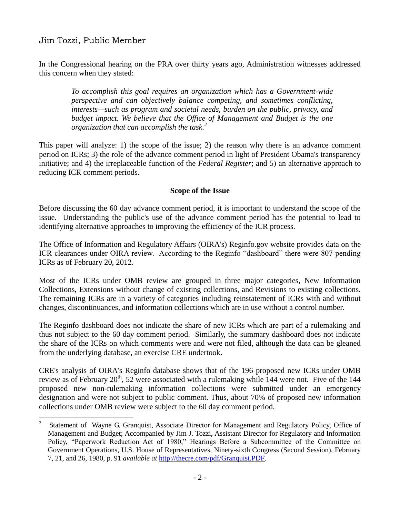In the Congressional hearing on the PRA over thirty years ago, Administration witnesses addressed this concern when they stated:

*To accomplish this goal requires an organization which has a Government-wide perspective and can objectively balance competing, and sometimes conflicting, interests—such as program and societal needs, burden on the public, privacy, and budget impact. We believe that the Office of Management and Budget is the one organization that can accomplish the task. 2*

This paper will analyze: 1) the scope of the issue; 2) the reason why there is an advance comment period on ICRs; 3) the role of the advance comment period in light of President Obama's transparency initiative; and 4) the irreplaceable function of the *Federal Register*; and 5) an alternative approach to reducing ICR comment periods.

#### **Scope of the Issue**

Before discussing the 60 day advance comment period, it is important to understand the scope of the issue. Understanding the public's use of the advance comment period has the potential to lead to identifying alternative approaches to improving the efficiency of the ICR process.

The Office of Information and Regulatory Affairs (OIRA's) Reginfo.gov website provides data on the ICR clearances under OIRA review. According to the Reginfo "dashboard" there were 807 pending ICRs as of February 20, 2012.

Most of the ICRs under OMB review are grouped in three major categories, New Information Collections, Extensions without change of existing collections, and Revisions to existing collections. The remaining ICRs are in a variety of categories including reinstatement of ICRs with and without changes, discontinuances, and information collections which are in use without a control number.

The Reginfo dashboard does not indicate the share of new ICRs which are part of a rulemaking and thus not subject to the 60 day comment period. Similarly, the summary dashboard does not indicate the share of the ICRs on which comments were and were not filed, although the data can be gleaned from the underlying database, an exercise CRE undertook.

CRE's analysis of OIRA's Reginfo database shows that of the 196 proposed new ICRs under OMB review as of February  $20^{th}$ , 52 were associated with a rulemaking while 144 were not. Five of the 144 proposed new non-rulemaking information collections were submitted under an emergency designation and were not subject to public comment. Thus, about 70% of proposed new information collections under OMB review were subject to the 60 day comment period.

 $\frac{1}{2}$  Statement of Wayne G. Granquist, Associate Director for Management and Regulatory Policy, Office of Management and Budget; Accompanied by Jim J. Tozzi, Assistant Director for Regulatory and Information Policy, "Paperwork Reduction Act of 1980," Hearings Before a Subcommittee of the Committee on Government Operations, U.S. House of Representatives, Ninety-sixth Congress (Second Session), February 7, 21, and 26, 1980, p. 91 *available at* [http://thecre.com/pdf/Granquist.PDF.](http://thecre.com/pdf/Granquist.PDF)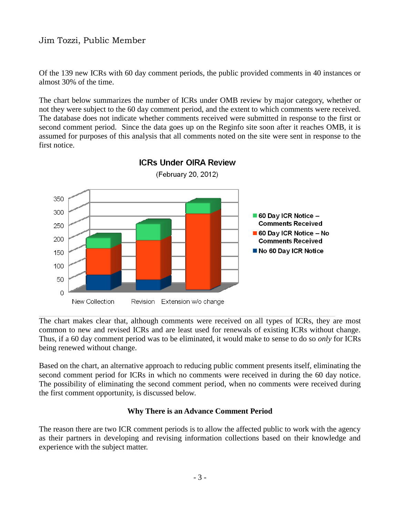Of the 139 new ICRs with 60 day comment periods, the public provided comments in 40 instances or almost 30% of the time.

The chart below summarizes the number of ICRs under OMB review by major category, whether or not they were subject to the 60 day comment period, and the extent to which comments were received. The database does not indicate whether comments received were submitted in response to the first or second comment period. Since the data goes up on the Reginfo site soon after it reaches OMB, it is assumed for purposes of this analysis that all comments noted on the site were sent in response to the first notice.



**ICRs Under OIRA Review** (February 20, 2012)

The chart makes clear that, although comments were received on all types of ICRs, they are most common to new and revised ICRs and are least used for renewals of existing ICRs without change. Thus, if a 60 day comment period was to be eliminated, it would make to sense to do so *only* for ICRs being renewed without change.

Based on the chart, an alternative approach to reducing public comment presents itself, eliminating the second comment period for ICRs in which no comments were received in during the 60 day notice. The possibility of eliminating the second comment period, when no comments were received during the first comment opportunity, is discussed below.

#### **Why There is an Advance Comment Period**

The reason there are two ICR comment periods is to allow the affected public to work with the agency as their partners in developing and revising information collections based on their knowledge and experience with the subject matter.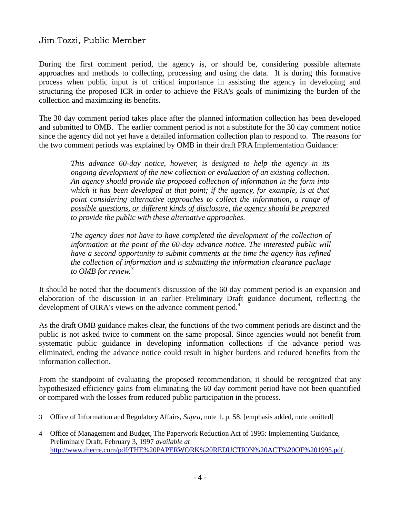$\overline{a}$ 

During the first comment period, the agency is, or should be, considering possible alternate approaches and methods to collecting, processing and using the data. It is during this formative process when public input is of critical importance in assisting the agency in developing and structuring the proposed ICR in order to achieve the PRA's goals of minimizing the burden of the collection and maximizing its benefits.

The 30 day comment period takes place after the planned information collection has been developed and submitted to OMB. The earlier comment period is not a substitute for the 30 day comment notice since the agency did not yet have a detailed information collection plan to respond to. The reasons for the two comment periods was explained by OMB in their draft PRA Implementation Guidance:

*This advance 60-day notice, however, is designed to help the agency in its ongoing development of the new collection or evaluation of an existing collection. An agency should provide the proposed collection of information in the form into which it has been developed at that point; if the agency, for example, is at that point considering alternative approaches to collect the information, a range of possible questions, or different kinds of disclosure, the agency should be prepared to provide the public with these alternative approaches.*

The agency does not have to have completed the development of the collection of *information at the point of the 60-day advance notice. The interested public will have a second opportunity to submit comments at the time the agency has refined the collection of information and is submitting the information clearance package to OMB for review.<sup>3</sup>*

It should be noted that the document's discussion of the 60 day comment period is an expansion and elaboration of the discussion in an earlier Preliminary Draft guidance document, reflecting the development of OIRA's views on the advance comment period.<sup>4</sup>

As the draft OMB guidance makes clear, the functions of the two comment periods are distinct and the public is not asked twice to comment on the same proposal. Since agencies would not benefit from systematic public guidance in developing information collections if the advance period was eliminated, ending the advance notice could result in higher burdens and reduced benefits from the information collection.

From the standpoint of evaluating the proposed recommendation, it should be recognized that any hypothesized efficiency gains from eliminating the 60 day comment period have not been quantified or compared with the losses from reduced public participation in the process.

<sup>3</sup> Office of Information and Regulatory Affairs, *Supra*, note 1, p. 58. [emphasis added, note omitted]

<sup>4</sup> Office of Management and Budget, The Paperwork Reduction Act of 1995: Implementing Guidance, Preliminary Draft, February 3, 1997 *available at* [http://www.thecre.com/pdf/THE%20PAPERWORK%20REDUCTION%20ACT%20OF%201995.pdf.](http://www.thecre.com/pdf/THE%20PAPERWORK%20REDUCTION%20ACT%20OF%201995.pdf)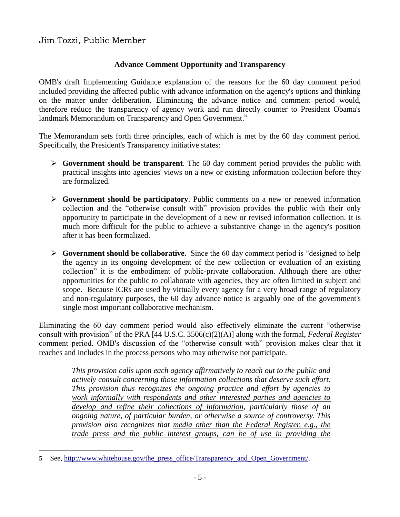$\overline{a}$ 

## **Advance Comment Opportunity and Transparency**

OMB's draft Implementing Guidance explanation of the reasons for the 60 day comment period included providing the affected public with advance information on the agency's options and thinking on the matter under deliberation. Eliminating the advance notice and comment period would, therefore reduce the transparency of agency work and run directly counter to President Obama's landmark Memorandum on Transparency and Open Government.<sup>5</sup>

The Memorandum sets forth three principles, each of which is met by the 60 day comment period. Specifically, the President's Transparency initiative states:

- **Government should be transparent**. The 60 day comment period provides the public with practical insights into agencies' views on a new or existing information collection before they are formalized.
- **Government should be participatory**. Public comments on a new or renewed information collection and the "otherwise consult with" provision provides the public with their only opportunity to participate in the development of a new or revised information collection. It is much more difficult for the public to achieve a substantive change in the agency's position after it has been formalized.
- **Government should be collaborative**. Since the 60 day comment period is "designed to help the agency in its ongoing development of the new collection or evaluation of an existing collection" it is the embodiment of public-private collaboration. Although there are other opportunities for the public to collaborate with agencies, they are often limited in subject and scope. Because ICRs are used by virtually every agency for a very broad range of regulatory and non-regulatory purposes, the 60 day advance notice is arguably one of the government's single most important collaborative mechanism.

Eliminating the 60 day comment period would also effectively eliminate the current "otherwise consult with provision" of the PRA [44 U.S.C. 3506(c)(2)(A)] along with the formal, *Federal Register* comment period. OMB's discussion of the "otherwise consult with" provision makes clear that it reaches and includes in the process persons who may otherwise not participate.

*This provision calls upon each agency affirmatively to reach out to the public and actively consult concerning those information collections that deserve such effort. This provision thus recognizes the ongoing practice and effort by agencies to work informally with respondents and other interested parties and agencies to develop and refine their collections of information, particularly those of an ongoing nature, of particular burden, or otherwise a source of controversy. This provision also recognizes that media other than the Federal Register, e.g., the trade press and the public interest groups, can be of use in providing the* 

<sup>5</sup> See, [http://www.whitehouse.gov/the\\_press\\_office/Transparency\\_and\\_Open\\_Government/.](http://www.whitehouse.gov/the_press_office/Transparency_and_Open_Government/)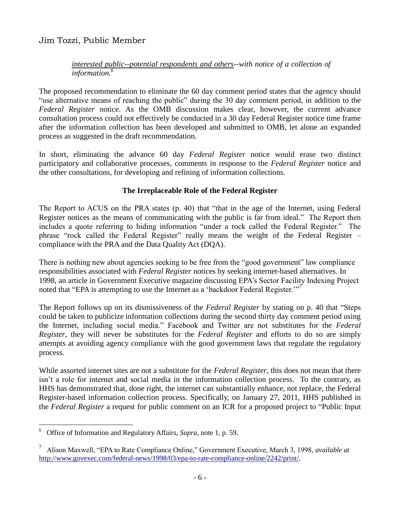### *interested public--potential respondents and others--with notice of a collection of information.<sup>6</sup>*

The proposed recommendation to eliminate the 60 day comment period states that the agency should "use alternative means of reaching the public" during the 30 day comment period, in addition to the *Federal Register* notice. As the OMB discussion makes clear, however, the current advance consultation process could not effectively be conducted in a 30 day Federal Register notice time frame after the information collection has been developed and submitted to OMB, let alone an expanded process as suggested in the draft recommendation.

In short, eliminating the advance 60 day *Federal Register* notice would erase two distinct participatory and collaborative processes, comments in response to the *Federal Register* notice and the other consultations, for developing and refining of information collections.

## **The Irreplaceable Role of the Federal Register**

The Report to ACUS on the PRA states (p. 40) that "that in the age of the Internet, using Federal Register notices as the means of communicating with the public is far from ideal." The Report then includes a quote referring to hiding information "under a rock called the Federal Register." The phrase "rock called the Federal Register" really means the weight of the Federal Register – compliance with the PRA and the Data Quality Act (DQA).

There is nothing new about agencies seeking to be free from the "good government" law compliance responsibilities associated with *Federal Register* notices by seeking internet-based alternatives. In 1998, an article in Government Executive magazine discussing EPA's Sector Facility Indexing Project noted that "EPA is attempting to use the Internet as a 'backdoor Federal Register."<sup>7</sup>

The Report follows up on its dismissiveness of the *Federal Register* by stating on p. 40 that "Steps could be taken to publicize information collections during the second thirty day comment period using the Internet, including social media." Facebook and Twitter are not substitutes for the *Federal Register*, they will never be substitutes for the *Federal Register* and efforts to do so are simply attempts at avoiding agency compliance with the good government laws that regulate the regulatory process.

While assorted internet sites are not a substitute for the *Federal Register*, this does not mean that there isn't a role for internet and social media in the information collection process. To the contrary, as HHS has demonstrated that, done right, the internet can substantially enhance, not replace, the Federal Register-based information collection process. Specifically, on January 27, 2011, HHS published in the *Federal Register* a request for public comment on an ICR for a proposed project to "Public Input

 $\overline{a}$ 

<sup>6</sup> Office of Information and Regulatory Affairs, *Supra*, note 1, p. 59.

<sup>7</sup> Alison Maxwell, "EPA to Rate Compliance Online," Government Executive, March 3, 1998, *available at* [http://www.govexec.com/federal-news/1998/03/epa-to-rate-compliance-online/2242/print/.](http://www.govexec.com/federal-news/1998/03/epa-to-rate-compliance-online/2242/print/)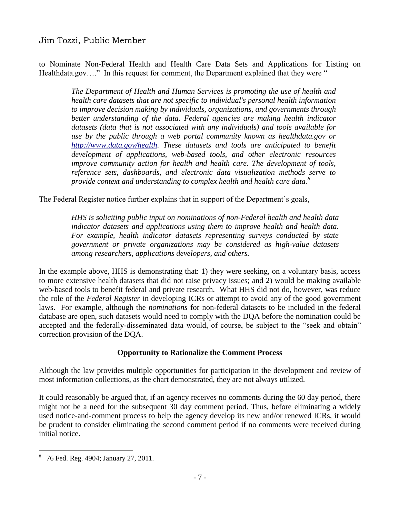to Nominate Non-Federal Health and Health Care Data Sets and Applications for Listing on Healthdata.gov...." In this request for comment, the Department explained that they were "

*The Department of Health and Human Services is promoting the use of health and health care datasets that are not specific to individual's personal health information to improve decision making by individuals, organizations, and governments through better understanding of the data. Federal agencies are making health indicator datasets (data that is not associated with any individuals) and tools available for use by the public through a web portal community known as healthdata.gov or [http://www.data.gov/health.](http://www.data.gov/health) These datasets and tools are anticipated to benefit development of applications, web-based tools, and other electronic resources improve community action for health and health care. The development of tools, reference sets, dashboards, and electronic data visualization methods serve to provide context and understanding to complex health and health care data.<sup>8</sup>*

The Federal Register notice further explains that in support of the Department's goals,

*HHS is soliciting public input on nominations of non-Federal health and health data indicator datasets and applications using them to improve health and health data. For example, health indicator datasets representing surveys conducted by state government or private organizations may be considered as high-value datasets among researchers, applications developers, and others.*

In the example above, HHS is demonstrating that: 1) they were seeking, on a voluntary basis, access to more extensive health datasets that did not raise privacy issues; and 2) would be making available web-based tools to benefit federal and private research. What HHS did not do, however, was reduce the role of the *Federal Register* in developing ICRs or attempt to avoid any of the good government laws. For example, although the *nominations* for non-federal datasets to be included in the federal database are open, such datasets would need to comply with the DQA before the nomination could be accepted and the federally-disseminated data would, of course, be subject to the "seek and obtain" correction provision of the DQA.

### **Opportunity to Rationalize the Comment Process**

Although the law provides multiple opportunities for participation in the development and review of most information collections, as the chart demonstrated, they are not always utilized.

It could reasonably be argued that, if an agency receives no comments during the 60 day period, there might not be a need for the subsequent 30 day comment period. Thus, before eliminating a widely used notice-and-comment process to help the agency develop its new and/or renewed ICRs, it would be prudent to consider eliminating the second comment period if no comments were received during initial notice.

 $\overline{a}$ 

<sup>8</sup> 76 Fed. Reg. 4904; January 27, 2011.